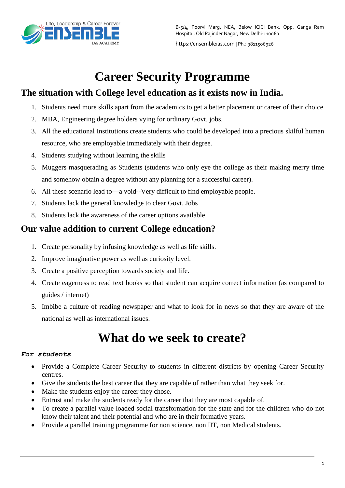

# **Career Security Programme**

## **The situation with College level education as it exists now in India.**

- 1. Students need more skills apart from the academics to get a better placement or career of their choice
- 2. MBA, Engineering degree holders vying for ordinary Govt. jobs.
- 3. All the educational Institutions create students who could be developed into a precious skilful human resource, who are employable immediately with their degree.
- 4. Students studying without learning the skills
- 5. Muggers masquerading as Students (students who only eye the college as their making merry time and somehow obtain a degree without any planning for a successful career).
- 6. All these scenario lead to—a void--Very difficult to find employable people.
- 7. Students lack the general knowledge to clear Govt. Jobs
- 8. Students lack the awareness of the career options available

## **Our value addition to current College education?**

- 1. Create personality by infusing knowledge as well as life skills.
- 2. Improve imaginative power as well as curiosity level.
- 3. Create a positive perception towards society and life.
- 4. Create eagerness to read text books so that student can acquire correct information (as compared to guides / internet)
- 5. Imbibe a culture of reading newspaper and what to look for in news so that they are aware of the national as well as international issues.

# **What do we seek to create?**

### *For students*

- Provide a Complete Career Security to students in different districts by opening Career Security centres.
- Give the students the best career that they are capable of rather than what they seek for.
- Make the students enjoy the career they chose.
- Entrust and make the students ready for the career that they are most capable of.
- To create a parallel value loaded social transformation for the state and for the children who do not know their talent and their potential and who are in their formative years.
- Provide a parallel training programme for non science, non IIT, non Medical students.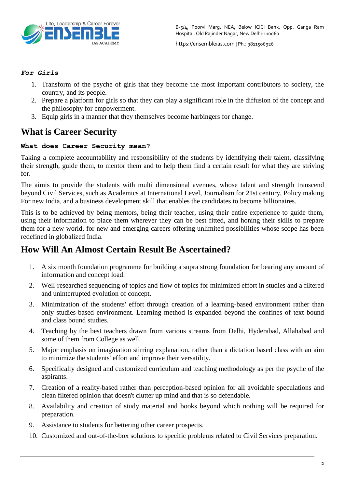

#### *For Girls*

- 1. Transform of the psyche of girls that they become the most important contributors to society, the country, and its people.
- 2. Prepare a platform for girls so that they can play a significant role in the diffusion of the concept and the philosophy for empowerment.
- 3. Equip girls in a manner that they themselves become harbingers for change.

## **What is Career Security**

### **What does Career Security mean?**

Taking a complete accountability and responsibility of the students by identifying their talent, classifying their strength, guide them, to mentor them and to help them find a certain result for what they are striving for.

The aimis to provide the students with multi dimensional avenues, whose talent and strength transcend beyond Civil Services, such as Academics at International Level, Journalism for 21st century, Policy making For new India, and a business development skill that enables the candidates to become billionaires.

This is to be achieved by being mentors, being their teacher, using their entire experience to guide them, using their information to place them wherever they can be best fitted, and honing their skills to prepare them for a new world, for new and emerging careers offering unlimited possibilities whose scope has been redefined in globalized India.

## **How Will An Almost Certain Result Be Ascertained?**

- 1. A six month foundation programme for building a supra strong foundation for bearing any amount of information and concept load.
- 2. Well-researched sequencing of topics and flow of topics for minimized effort in studies and a filtered and uninterrupted evolution of concept.
- 3. Minimization of the students' effort through creation of a learning-based environment rather than only studies-based environment. Learning method is expanded beyond the confines of text bound and class bound studies.
- 4. Teaching by the best teachers drawn from various streams from Delhi, Hyderabad, Allahabad and some of them from College as well.
- 5. Major emphasis on imagination stirring explanation, rather than a dictation based class with an aim to minimize the students' effort and improve their versatility.
- 6. Specifically designed and customized curriculum and teaching methodology as per the psyche of the aspirants.
- 7. Creation of a reality-based rather than perception-based opinion for all avoidable speculations and clean filtered opinion that doesn't clutter up mind and that is so defendable.
- 8. Availability and creation of study material and books beyond which nothing will be required for preparation.
- 9. Assistance to students for bettering other career prospects.
- 10. Customized and out-of-the-box solutions to specific problems related to Civil Services preparation.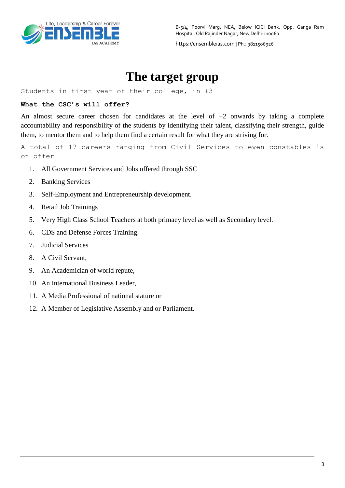

# **The target group**

Students in first year of their college, in +3

#### **What the CSC's will offer?**

An almost secure career chosen for candidates at the level of  $+2$  onwards by taking a complete accountability and responsibility of the students by identifying their talent, classifying their strength, guide them, to mentor them and to help them find a certain result for what they are striving for.

A total of 17 careers ranging from Civil Services to even constables is on offer

- 1. All Government Services and Jobs offered through SSC
- 2. Banking Services
- 3. Self-Employment and Entrepreneurship development.
- 4. Retail Job Trainings
- 5. Very High Class School Teachers at both primaey level as well as Secondary level.
- 6. CDS and Defense Forces Training.
- 7. Judicial Services
- 8. A Civil Servant,
- 9. An Academician of world repute,
- 10. An International Business Leader,
- 11. A Media Professional of national stature or
- 12. A Member of Legislative Assembly and or Parliament.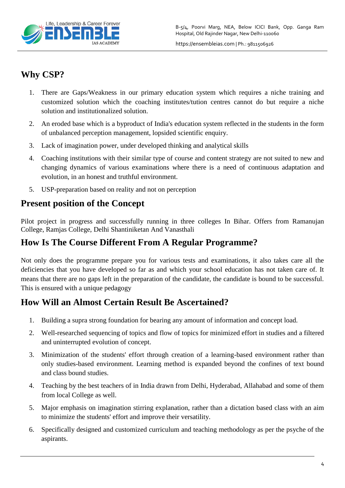

## **Why CSP?**

- 1. There are Gaps/Weakness in our primary education system which requires a niche training and customized solution which the coaching institutes/tution centres cannot do but require a niche solution and institutionalized solution.
- 2. An eroded base which is a byproduct of India's education system reflected in the students in the form of unbalanced perception management, lopsided scientific enquiry.
- 3. Lack of imagination power, under developed thinking and analytical skills
- 4. Coaching institutions with their similar type of course and content strategy are not suited to new and changing dynamics of various examinations where there is a need of continuous adaptation and evolution, in an honest and truthful environment.
- 5. USP-preparation based on reality and not on perception

## **Present position of the Concept**

Pilot project in progress and successfully running in three colleges In Bihar. Offers from Ramanujan College, Ramjas College, Delhi Shantiniketan And Vanasthali

## **How Is The Course Different From A Regular Programme?**

Not only does the programme prepare you for various tests and examinations, it also takes care all the deficiencies that you have developed so far as and which your school education has not taken care of. It means that there are no gaps left in the preparation of the candidate, the candidate is bound to be successful. This is ensured with a unique pedagogy

## **How Will an Almost Certain Result Be Ascertained?**

- 1. Building a supra strong foundation for bearing any amount of information and concept load.
- 2. Well-researched sequencing of topics and flow of topics for minimized effort in studies and a filtered and uninterrupted evolution of concept.
- 3. Minimization of the students' effort through creation of a learning-based environment rather than only studies-based environment. Learning method is expanded beyond the confines of text bound and class bound studies.
- 4. Teaching by the best teachers of in India drawn from Delhi, Hyderabad, Allahabad and some of them from local College as well.
- 5. Major emphasis on imagination stirring explanation, rather than a dictation based class with an aim to minimize the students' effort and improve their versatility.
- 6. Specifically designed and customized curriculum and teaching methodology as per the psyche of the aspirants.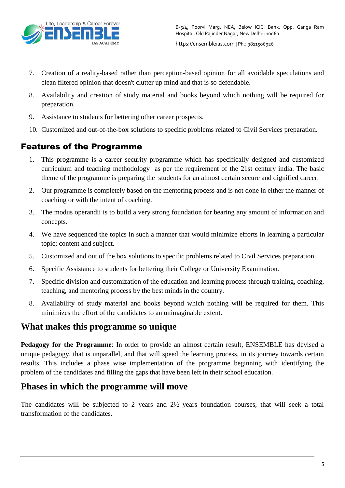

- 7. Creation of a reality-based rather than perception-based opinion for all avoidable speculations and clean filtered opinion that doesn't clutter up mind and that is so defendable.
- 8. Availability and creation of study material and books beyond which nothing will be required for preparation.
- 9. Assistance to students for bettering other career prospects.
- 10. Customized and out-of-the-box solutions to specific problems related to Civil Services preparation.

## Features of the Programme

- 1. This programme is a career security programme which has specifically designed and customized curriculum and teaching methodology as per the requirement of the 21st century india. The basic theme of the programme is preparing the students for an almost certain secure and dignified career.
- 2. Our programme is completely based on the mentoring process and is not done in either the manner of coaching or with the intent of coaching.
- 3. The modus operandii is to build a very strong foundation for bearing any amount of information and concepts.
- 4. We have sequenced the topics in such a manner that would minimize efforts in learning a particular topic; content and subject.
- 5. Customized and out of the box solutions to specific problems related to Civil Services preparation.
- 6. Specific Assistance to students for bettering their College or University Examination.
- 7. Specific division and customization of the education and learning process through training, coaching, teaching, and mentoring process by the best minds in the country.
- 8. Availability of study material and books beyond which nothing will be required for them. This minimizes the effort of the candidates to an unimaginable extent.

## **What makes this programme so unique**

**Pedagogy for the Programme**: In order to provide an almost certain result, ENSEMBLE has devised a unique pedagogy, that is unparallel, and that will speed the learning process, in its journey towards certain results. This includes a phase wise implementation of the programme beginning with identifying the problem of the candidates and filling the gaps that have been left in their school education.

## **Phases in which the programme will move**

The candidates will be subjected to 2 years and 2½ years foundation courses, that will seek a total transformation of the candidates.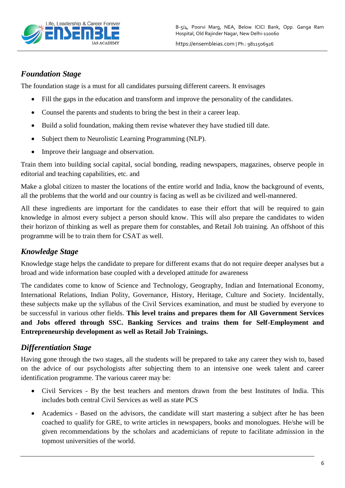

## *Foundation Stage*

The foundation stage is a must for all candidates pursuing different careers. It envisages

- Fill the gaps in the education and transform and improve the personality of the candidates.
- Counsel the parents and students to bring the best in their a career leap.
- Build a solid foundation, making them revise whatever they have studied till date.
- Subject them to Neurolistic Learning Programming (NLP).
- Improve their language and observation.

Train them into building social capital, social bonding, reading newspapers, magazines, observe people in editorial and teaching capabilities, etc. and

Make a global citizen to master the locations of the entire world and India, know the background of events, all the problems that the world and our country is facing as well as be civilized and well-mannered.

All these ingredients are important for the candidates to ease their effort that will be required to gain knowledge in almost every subject a person should know. This will also prepare the candidates to widen their horizon of thinking as well as prepare them for constables, and Retail Job training. An offshoot of this programme will be to train them for CSAT as well.

## *Knowledge Stage*

Knowledge stage helps the candidate to prepare for different exams that do not require deeper analyses but a broad and wide information base coupled with a developed attitude for awareness

The candidates come to know of Science and Technology, Geography, Indian and International Economy, International Relations, Indian Polity, Governance, History, Heritage, Culture and Society. Incidentally, these subjects make up the syllabus of the Civil Services examination, and must be studied by everyone to be successful in various other fields. **This level trains and prepares them for All Government Services and Jobs offered through SSC. Banking Services and trains them for Self-Employment and Entrepreneurship development as well as Retail Job Trainings.**

## *Differentiation Stage*

Having gone through the two stages, all the students will be prepared to take any career they wish to, based on the advice of our psychologists after subjecting them to an intensive one week talent and career identification programme. The various career may be:

- Civil Services By the best teachers and mentors drawn from the best Institutes of India. This includes both central Civil Services as well as state PCS
- Academics Based on the advisors, the candidate will start mastering a subject after he has been coached to qualify for GRE, to write articles in newspapers, books and monologues. He/she will be given recommendations by the scholars and academicians of repute to facilitate admission in the topmost universities of the world.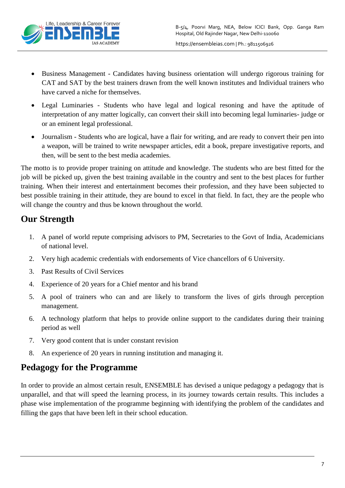

- Business Management Candidates having business orientation will undergo rigorous training for CAT and SAT by the best trainers drawn from the well known institutes and Individual trainers who have carved a niche for themselves.
- Legal Luminaries Students who have legal and logical resoning and have the aptitude of interpretation of any matter logically, can convert their skill into becoming legal luminaries- judge or or an eminent legal professional.
- Journalism Students who are logical, have a flair for writing, and are ready to convert their pen into a weapon, will be trained to write newspaper articles, edit a book, prepare investigative reports, and then, will be sent to the best media academies.

The motto is to provide proper training on attitude and knowledge. The students who are best fitted for the job will be picked up, given the best training available in the country and sent to the best places for further training. When their interest and entertainment becomes their profession, and they have been subjected to best possible training in their attitude, they are bound to excel in that field. In fact, they are the people who will change the country and thus be known throughout the world.

# **Our Strength**

- 1. A panel of world repute comprising advisors to PM, Secretaries to the Govt of India, Academicians of national level.
- 2. Very high academic credentials with endorsements of Vice chancellors of 6 University.
- 3. Past Results of Civil Services
- 4. Experience of 20 years for a Chief mentor and his brand
- 5. A pool of trainers who can and are likely to transform the lives of girls through perception management.
- 6. A technology platform that helps to provide online support to the candidates during their training period as well
- 7. Very good content that is under constant revision
- 8. An experience of 20 years in running institution and managing it.

## **Pedagogy for the Programme**

In order to provide an almost certain result, ENSEMBLE has devised a unique pedagogy a pedagogy that is unparallel, and that will speed the learning process, in its journey towards certain results. This includes a phase wise implementation of the programme beginning with identifying the problem of the candidates and filling the gaps that have been left in their school education.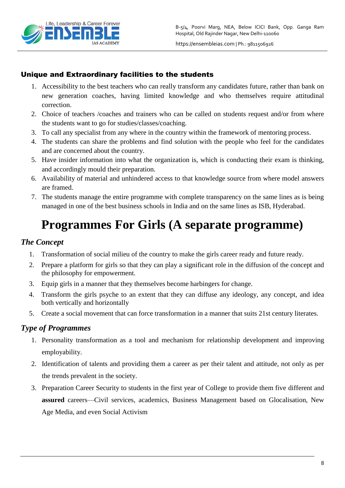

### Unique and Extraordinary facilities to the students

- 1. Accessibility to the best teachers who can really transform any candidates future, rather than bank on new generation coaches, having limited knowledge and who themselves require attitudinal correction.
- 2. Choice of teachers /coaches and trainers who can be called on students request and/or from where the students want to go for studies/classes/coaching.
- 3. To call any specialist from any where in the country within the framework of mentoring process.
- 4. The students can share the problems and find solution with the people who feel for the candidates and are concerned about the country.
- 5. Have insider information into what the organization is, which is conducting their exam is thinking, and accordingly mould their preparation.
- 6. Availability of material and unhindered access to that knowledge source from where model answers are framed.
- 7. The students manage the entire programme with complete transparency on the same lines as is being managed in one of the best business schools in India and on the same lines as ISB, Hyderabad.

# **Programmes For Girls (A separate programme)**

## *The Concept*

- 1. Transformation of social milieu of the country to make the girls career ready and future ready.
- 2. Prepare a platform for girls so that they can play a significant role in the diffusion of the concept and the philosophy for empowerment.
- 3. Equip girls in a manner that they themselves become harbingers for change.
- 4. Transform the girls psyche to an extent that they can diffuse any ideology, any concept, and idea both vertically and horizontally
- 5. Create a social movement that can force transformation in a manner that suits 21st century literates.

### *Type of Programmes*

- 1. Personality transformation as a tool and mechanism for relationship development and improving employability.
- 2. Identification of talents and providing them a career as per their talent and attitude, not only as per the trends prevalent in the society.
- 3. Preparation Career Security to students in the first year of College to provide them five different and **assured** careers—Civil services, academics, Business Management based on Glocalisation, New Age Media, and even Social Activism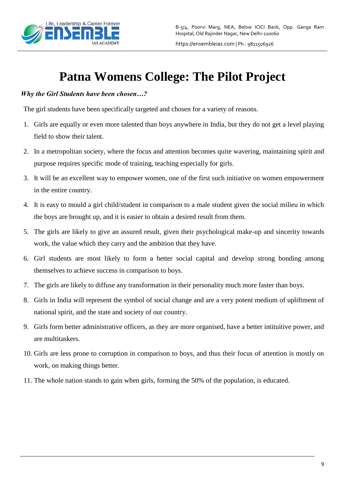

# **Patna Womens College: The Pilot Project**

### *Why the Girl Students have been chosen…?*

The girl students have been specifically targeted and chosen for a variety of reasons.

- 1. Girls are equally or even more talented than boys anywhere in India, but they do not get a level playing field to show their talent.
- 2. In a metropolitan society, where the focus and attention becomes quite wavering, maintaining spirit and purpose requires specific mode of training, teaching especially for girls.
- 3. It will be an excellent way to empower women, one of the first such initiative on women empowerment in the entire country.
- 4. It is easy to mould a girl child/student in comparison to a male student given the social milieu in which the boys are brought up, and it is easier to obtain a desired result from them.
- 5. The girls are likely to give an assured result, given their psychological make-up and sincerity towards work, the value which they carry and the ambition that they have.
- 6. Girl students are most likely to form a better social capital and develop strong bonding among themselves to achieve success in comparison to boys.
- 7. The girls are likely to diffuse any transformation in their personality much more faster than boys.
- 8. Girls in India will represent the symbol of social change and are a very potent medium of upliftment of national spirit, and the state and society of our country.
- 9. Girls form better administrative officers, as they are more organised, have a better intituitive power, and are multitaskers.
- 10. Girls are less prone to corruption in comparison to boys, and thus their focus of attention is mostly on work, on making things better.
- 11. The whole nation stands to gain when girls, forming the 50% of the population, is educated.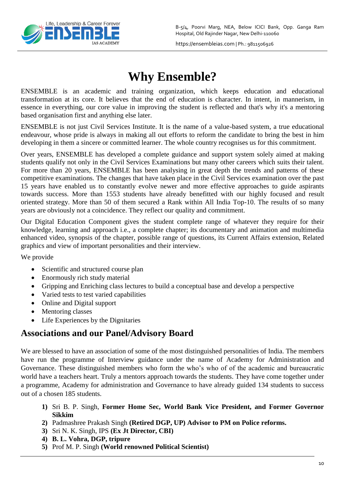

# **Why Ensemble?**

ENSEMBLE is an academic and training organization, which keeps education and educational transformation at its core. It believes that the end of education is character. In intent, in mannerism, in essence in everything, our core value in improving the student is reflected and that's why it's a mentoring based organisation first and anything else later.

ENSEMBLE is not just Civil Services Institute. It is the name of a value-based system, a true educational endeavour, whose pride is always in making all out efforts to reform the candidate to bring the best in him developing in them a sincere or committed learner. The whole country recognises us for this commitment.

Over years, ENSEMBLE has developed a complete guidance and support system solely aimed at making students qualify not only in the Civil Services Examinations but many other careers which suits their talent. For more than 20 years, ENSEMBLE has been analysing in great depth the trends and patterns of these competitive examinations. The changes that have taken place in the Civil Services examination over the past 15 years have enabled us to constantly evolve newer and more effective approaches to guide aspirants towards success. More than 1553 students have already benefitted with our highly focused and result oriented strategy. More than 50 of them secured a Rank within All India Top-10. The results of so many years are obviously not a coincidence. They reflect our quality and commitment.

Our Digital Education Component gives the student complete range of whatever they require for their knowledge, learning and approach i.e., a complete chapter; its documentary and animation and multimedia enhanced video, synopsis of the chapter, possible range of questions, its Current Affairs extension, Related graphics and view of important personalities and their interview.

We provide

- Scientific and structured course plan
- Enormously rich study material
- Gripping and Enriching class lectures to build a conceptual base and develop a perspective
- Varied tests to test varied capabilities
- Online and Digital support
- Mentoring classes
- Life Experiences by the Dignitaries

## **Associations and our Panel/Advisory Board**

We are blessed to have an association of some of the most distinguished personalities of India. The members have run the programme of Interview guidance under the name of Academy for Administration and Governance. These distinguished members who form the who's who of of the academic and bureaucratic world have a teachers heart. Truly a mentors approach towards the students. They have come together under a programme, Academy for administration and Governance to have already guided 134 students to success out of a chosen 185 students.

- **1)** Sri B. P. Singh, **Former Home Sec, World Bank Vice President, and Former Governor Sikkim**
- **2)** Padmashree Prakash Singh **(Retired DGP, UP) Advisor to PM on Police reforms.**
- **3)** Sri N. K. Singh, IPS **(Ex Jt Director, CBI)**
- **4) B. L. Vohra, DGP, tripure**
- **5)** Prof M. P. Singh **(World renowned Political Scientist)**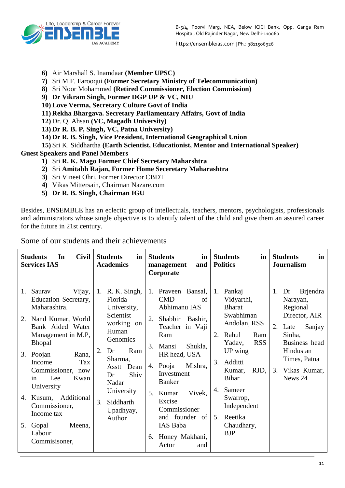B-5/4, Poorvi Marg, NEA, Below ICICI Bank, Opp. Ganga Ram Hospital, Old Rajinder Nagar, New Delhi-110060



https://ensembleias.com | Ph.: 9811506926

- **6)** Air Marshall S. Inamdaar **(Member UPSC)**
- **7)** Sri M.F. Farooqui **(Former Secretary Ministry of Telecommunication)**
- **8)** Sri Noor Mohammed **(Retired Commissioner, Election Commission)**
- **9) Dr Vikram Singh, Former DGP UP & VC, NIU**
- **10) Love Verma, Secretary Culture Govt of India**
- **11) Rekha Bhargava. Secretary Parliamentary Affairs, Govt of India**
- **12)** Dr. Q. Ahsan **(VC, Magadh University)**
- **13) Dr R. B. P, Singh, VC, Patna University)**
- **14) Dr R. B. Singh, Vice President, International Geographical Union**
- **15)** Sri K. Siddhartha **(Earth Scientist, Educationist, Mentor and International Speaker)**

**Guest Speakers and Panel Members**

- **1)** Sri **R. K. Mago Former Chief Secretary Maharshtra**
- **2)** Sri **Amitabh Rajan, Former Home Seceretary Maharashtra**
- **3)** Sri Vineet Ohri, Former Director CBDT
- **4)** Vikas Mittersain, Chairman Nazare.com
- **5) Dr R. B. Singh, Chairman IGU**

Besides, ENSEMBLE has an eclectic group of intellectuals, teachers, mentors, psychologists, professionals and administrators whose single objective is to identify talent of the child and give them an assured career for the future in 21st century.

**Students In Civil Services IAS Students in Academics Students in management and Corporate Students in Politics Students in Journalism** 1. Saurav Vijay, Education Secretary, Maharashtra. 2. Nand Kumar, World Bank Aided Water Management in M.P, Bhopal 3. Poojan Rana, Income Tax Commissioner, now in Lee Kwan University 4. Kusum, Additional Commissioner, Income tax 5. Gopal Meena, Labour Commisisoner, 1. R. K. Singh, Florida University, Scientist working on Human **Genomics** 2. Dr Ram Sharma, Asstt Dean Dr Shiv Nadar University 3. Siddharth Upadhyay, Author 1. Praveen Bansal, CMD of Abhimanu IAS 2. Shabbir Bashir, Teacher in Vaji Ram 3. Mansi Shukla, HR head, USA 4. Pooja Mishra, Investment Banker 5. Kumar Vivek, Excise Commissioner and founder of IAS Baba 6. Honey Makhani, Actor and 1. Pankaj Vidyarthi, Bharat Swabhiman Andolan, RSS 2. Rahul Ram Yadav, RSS UP wing 3. Additti Kumar, RJD, Bihar 4. Sameer Swarrop, Independent 5. Reetika Chaudhary, BJP 1. Dr Brjendra Narayan, Regional Director, AIR 2. Late Sanjay Sinha, Business head Hindustan Times, Patna 3. Vikas Kumar, News 24

Some of our students and their achievements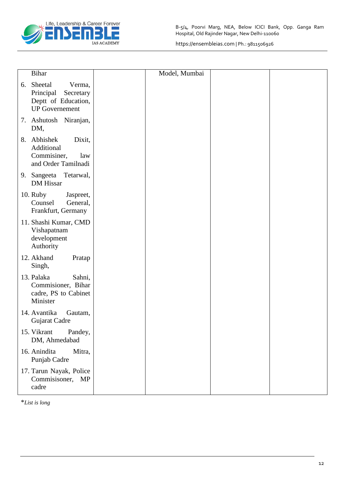

|    | <b>Bihar</b>                                                                                | Model, Mumbai |  |
|----|---------------------------------------------------------------------------------------------|---------------|--|
| 6. | Sheetal<br>Verma,<br>Principal<br>Secretary<br>Deptt of Education,<br><b>UP</b> Governement |               |  |
|    | 7. Ashutosh Niranjan,<br>DM,                                                                |               |  |
|    | 8. Abhishek<br>Dixit,<br>Additional<br>Commisiner,<br>law<br>and Order Tamilnadi            |               |  |
|    | Tetarwal,<br>9. Sangeeta<br>DM Hissar                                                       |               |  |
|    | 10. Ruby<br>Jaspreet,<br>Counsel<br>General,<br>Frankfurt, Germany                          |               |  |
|    | 11. Shashi Kumar, CMD<br>Vishapatnam<br>development<br>Authority                            |               |  |
|    | 12. Akhand<br>Pratap<br>Singh,                                                              |               |  |
|    | 13. Palaka<br>Sahni,<br>Commisioner, Bihar<br>cadre, PS to Cabinet<br>Minister              |               |  |
|    | 14. Avantika<br>Gautam,<br>Gujarat Cadre                                                    |               |  |
|    | Pandey,<br>15. Vikrant<br>DM, Ahmedabad                                                     |               |  |
|    | 16. Anindita<br>Mitra,<br>Punjab Cadre                                                      |               |  |
|    | 17. Tarun Nayak, Police<br>Commisisoner, MP<br>cadre                                        |               |  |

\**List is long*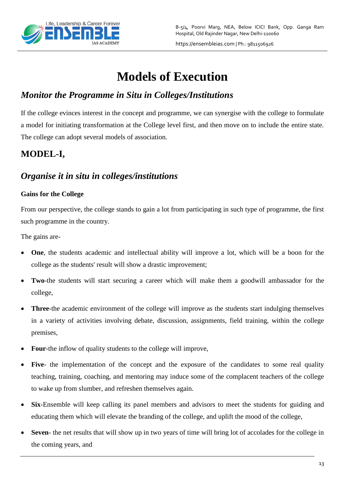

# **Models of Execution**

# *Monitor the Programme in Situ in Colleges/Institutions*

If the college evinces interest in the concept and programme, we can synergise with the college to formulate a model for initiating transformation at the College level first, and then move on to include the entire state. The college can adopt several models of association.

# **MODEL-I,**

## *Organise it in situ in colleges/institutions*

## **Gains for the College**

From our perspective, the college stands to gain a lot from participating in such type of programme, the first such programme in the country.

The gains are-

- **One**, the students academic and intellectual ability will improve a lot, which will be a boon for the college as the students' result will show a drastic improvement;
- **Two**-the students will start securing a career which will make them a goodwill ambassador for the college,
- **Three**-the academic environment of the college will improve as the students start indulging themselves in a variety of activities involving debate, discussion, assignments, field training, within the college premises,
- **Four**-the inflow of quality students to the college will improve,
- **Five** the implementation of the concept and the exposure of the candidates to some real quality teaching, training, coaching, and mentoring may induce some of the complacent teachers of the college to wake up from slumber, and refreshen themselves again.
- **Six**-Ensemble will keep calling its panel members and advisors to meet the students for guiding and educating them which will elevate the branding of the college, and uplift the mood of the college,
- **Seven** the net results that will show up in two years of time will bring lot of accolades for the college in the coming years, and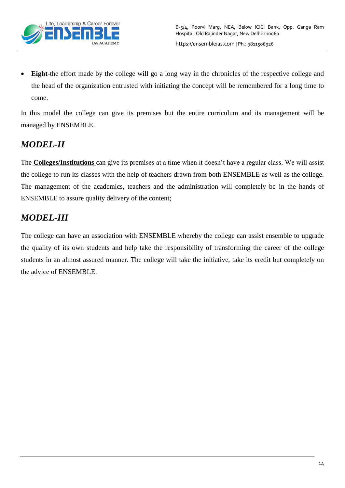

 **Eight**-the effort made by the college will go a long way in the chronicles of the respective college and the head of the organization entrusted with initiating the concept will be remembered for a long time to come.

In this model the college can give its premises but the entire curriculum and its management will be managed by ENSEMBLE.

# *MODEL-II*

The **Colleges/Institutions** can give its premises at a time when it doesn't have a regular class. We will assist the college to run its classes with the help of teachers drawn from both ENSEMBLE as well as the college. The management of the academics, teachers and the administration will completely be in the hands of ENSEMBLE to assure quality delivery of the content;

# *MODEL-III*

The college can have an association with ENSEMBLE whereby the college can assist ensemble to upgrade the quality of its own students and help take the responsibility of transforming the career of the college students in an almost assured manner. The college will take the initiative, take its credit but completely on the advice of ENSEMBLE.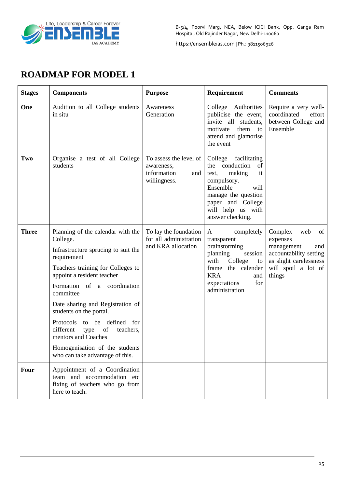

# **ROADMAP FOR MODEL 1**

| <b>Stages</b> | <b>Components</b>                                                                                                                                                                                                                                                                                                                                                                                                                                    | <b>Purpose</b>                                                             | Requirement                                                                                                                                                                                    | <b>Comments</b>                                                                                                                            |
|---------------|------------------------------------------------------------------------------------------------------------------------------------------------------------------------------------------------------------------------------------------------------------------------------------------------------------------------------------------------------------------------------------------------------------------------------------------------------|----------------------------------------------------------------------------|------------------------------------------------------------------------------------------------------------------------------------------------------------------------------------------------|--------------------------------------------------------------------------------------------------------------------------------------------|
| One           | Audition to all College students<br>in situ                                                                                                                                                                                                                                                                                                                                                                                                          | Awareness<br>Generation                                                    | College Authorities<br>publicise the event,<br>invite all students,<br>motivate<br>them<br>to<br>attend and glamorise<br>the event                                                             | Require a very well-<br>coordinated<br>effort<br>between College and<br>Ensemble                                                           |
| Two           | Organise a test of all College<br>students                                                                                                                                                                                                                                                                                                                                                                                                           | To assess the level of<br>awareness,<br>information<br>and<br>willingness. | College facilitating<br>the conduction of<br>making<br>it<br>test,<br>compulsory.<br>Ensemble<br>will<br>manage the question<br>paper and College<br>will help us with<br>answer checking.     |                                                                                                                                            |
| <b>Three</b>  | Planning of the calendar with the<br>College.<br>Infrastructure sprucing to suit the<br>requirement<br>Teachers training for Colleges to<br>appoint a resident teacher<br>Formation of a coordination<br>committee<br>Date sharing and Registration of<br>students on the portal.<br>Protocols to be defined for<br>different<br>type<br>of<br>teachers,<br>mentors and Coaches<br>Homogenisation of the students<br>who can take advantage of this. | To lay the foundation<br>for all administration<br>and KRA allocation      | completely<br>$\mathbf{A}$<br>transparent<br>brainstorming<br>planning<br>session<br>College<br>with<br>to<br>frame the calender<br><b>KRA</b><br>and<br>for<br>expectations<br>administration | Complex<br>web<br>of<br>expenses<br>management<br>and<br>accountability setting<br>as slight carelessness<br>will spoil a lot of<br>things |
| <b>Four</b>   | Appointment of a Coordination<br>team and accommodation etc<br>fixing of teachers who go from<br>here to teach.                                                                                                                                                                                                                                                                                                                                      |                                                                            |                                                                                                                                                                                                |                                                                                                                                            |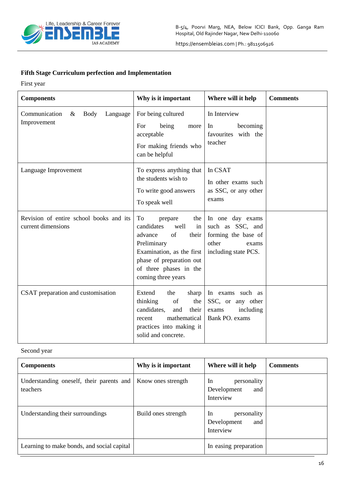

### **Fifth Stage Curriculum perfection and Implementation**

First year

| <b>Components</b>                                               | Why is it important                                                                                                                                                                                | Where will it help                                                                                    | <b>Comments</b> |
|-----------------------------------------------------------------|----------------------------------------------------------------------------------------------------------------------------------------------------------------------------------------------------|-------------------------------------------------------------------------------------------------------|-----------------|
| Communication<br><b>Body</b><br>$\&$<br>Language<br>Improvement | For being cultured<br>being<br>For<br>more<br>acceptable<br>For making friends who<br>can be helpful                                                                                               | In Interview<br>becoming<br>In<br>favourites with the<br>teacher                                      |                 |
| Language Improvement                                            | To express anything that<br>the students wish to<br>To write good answers<br>To speak well                                                                                                         | In CSAT<br>In other exams such<br>as SSC, or any other<br>exams                                       |                 |
| Revision of entire school books and its<br>current dimensions   | To<br>prepare<br>the<br>candidates<br>well<br>in<br>of<br>their<br>advance<br>Preliminary<br>Examination, as the first<br>phase of preparation out<br>of three phases in the<br>coming three years | In one day exams<br>such as SSC, and<br>forming the base of<br>other<br>exams<br>including state PCS. |                 |
| CSAT preparation and customisation                              | Extend<br>the<br>sharp<br>thinking<br>of<br>the<br>candidates.<br>and<br>their<br>mathematical<br>recent<br>practices into making it<br>solid and concrete.                                        | In exams such as<br>SSC, or any other<br>including<br>exams<br>Bank PO. exams                         |                 |

#### Second year

| <b>Components</b>                                    | Why is it important | Where will it help                                   | <b>Comments</b> |
|------------------------------------------------------|---------------------|------------------------------------------------------|-----------------|
| Understanding oneself, their parents and<br>teachers | Know ones strength  | In<br>personality<br>Development<br>and<br>Interview |                 |
| Understanding their surroundings                     | Build ones strength | In<br>personality<br>Development<br>and<br>Interview |                 |
| Learning to make bonds, and social capital           |                     | In easing preparation                                |                 |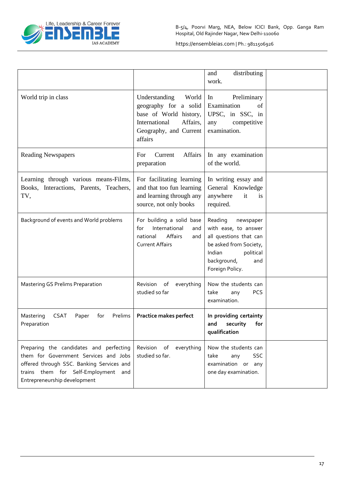

|                                                                                                                                                                                                      |                                                                                                                                             | distributing<br>and<br>work.                                                                                                                                     |  |
|------------------------------------------------------------------------------------------------------------------------------------------------------------------------------------------------------|---------------------------------------------------------------------------------------------------------------------------------------------|------------------------------------------------------------------------------------------------------------------------------------------------------------------|--|
| World trip in class                                                                                                                                                                                  | Understanding<br>World<br>geography for a solid<br>base of World history,<br>Affairs,<br>International<br>Geography, and Current<br>affairs | Preliminary<br>In<br>Examination<br>of<br>UPSC, in SSC, in<br>competitive<br>any<br>examination.                                                                 |  |
| <b>Reading Newspapers</b>                                                                                                                                                                            | Affairs<br>For<br>Current<br>preparation                                                                                                    | In any examination<br>of the world.                                                                                                                              |  |
| Learning through various means-Films,<br>Books, Interactions, Parents, Teachers,<br>TV,                                                                                                              | For facilitating learning<br>and that too fun learning<br>and learning through any<br>source, not only books                                | In writing essay and<br>General Knowledge<br>anywhere<br>it<br>is<br>required.                                                                                   |  |
| Background of events and World problems                                                                                                                                                              | For building a solid base<br>International<br>for<br>and<br>Affairs<br>national<br>and<br><b>Current Affairs</b>                            | Reading<br>newspaper<br>with ease, to answer<br>all questions that can<br>be asked from Society,<br>Indian<br>political<br>background,<br>and<br>Foreign Policy. |  |
| <b>Mastering GS Prelims Preparation</b>                                                                                                                                                              | Revision<br>of<br>everything<br>studied so far                                                                                              | Now the students can<br>take<br><b>PCS</b><br>any<br>examination.                                                                                                |  |
| Mastering<br><b>CSAT</b><br>for<br>Prelims<br>Paper<br>Preparation                                                                                                                                   | Practice makes perfect                                                                                                                      | In providing certainty<br>security<br>for<br>and<br>qualification                                                                                                |  |
| Preparing the candidates and perfecting<br>them for Government Services and Jobs<br>offered through SSC. Banking Services and<br>trains them for Self-Employment and<br>Entrepreneurship development | Revision of<br>everything<br>studied so far.                                                                                                | Now the students can<br>take<br><b>SSC</b><br>any<br>examination or any<br>one day examination.                                                                  |  |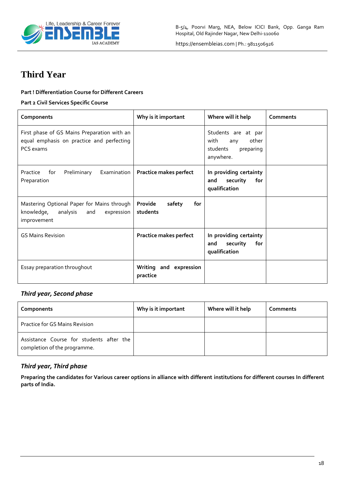

# **Third Year**

#### **Part ! Differentiation Course for Different Careers**

#### **Part 2 Civil Services Specific Course**

| Components                                                                                               | Why is it important                  | Where will it help                                                                | Comments |
|----------------------------------------------------------------------------------------------------------|--------------------------------------|-----------------------------------------------------------------------------------|----------|
| First phase of GS Mains Preparation with an<br>equal emphasis on practice and perfecting<br>PCS exams    |                                      | Students are at par<br>with<br>other<br>any<br>students<br>preparing<br>anywhere. |          |
| <b>Examination</b><br>Practice<br>for<br>Preliminary<br>Preparation                                      | Practice makes perfect               | In providing certainty<br>security<br>for<br>and<br>qualification                 |          |
| Mastering Optional Paper for Mains through<br>knowledge,<br>analysis<br>and<br>expression<br>improvement | Provide<br>safety<br>for<br>students |                                                                                   |          |
| <b>GS Mains Revision</b>                                                                                 | <b>Practice makes perfect</b>        | In providing certainty<br>security<br>for<br>and<br>qualification                 |          |
| Essay preparation throughout                                                                             | Writing and expression<br>practice   |                                                                                   |          |

#### *Third year, Second phase*

| Components                                                               | Why is it important | Where will it help | Comments |
|--------------------------------------------------------------------------|---------------------|--------------------|----------|
| <b>Practice for GS Mains Revision</b>                                    |                     |                    |          |
| Assistance Course for students after the<br>completion of the programme. |                     |                    |          |

### *Third year, Third phase*

**Preparing the candidates for Various career options in alliance with different institutions for different courses In different parts of India.**